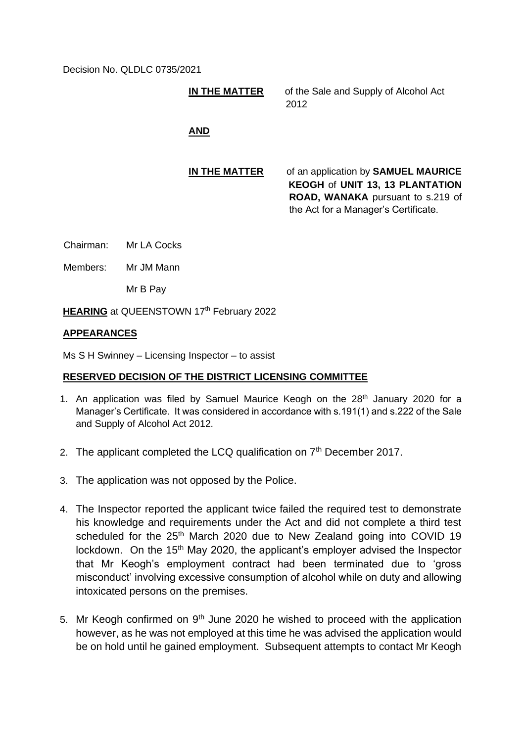Decision No. QLDLC 0735/2021

**IN THE MATTER** of the Sale and Supply of Alcohol Act 2012

# **AND**

**IN THE MATTER** of an application by **SAMUEL MAURICE KEOGH** of **UNIT 13, 13 PLANTATION ROAD, WANAKA** pursuant to s.219 of the Act for a Manager's Certificate.

Chairman: Mr LA Cocks

Members: Mr JM Mann

Mr B Pay

**HEARING** at QUEENSTOWN 17<sup>th</sup> February 2022

## **APPEARANCES**

Ms S H Swinney – Licensing Inspector – to assist

### **RESERVED DECISION OF THE DISTRICT LICENSING COMMITTEE**

- 1. An application was filed by Samuel Maurice Keogh on the 28<sup>th</sup> January 2020 for a Manager's Certificate. It was considered in accordance with s.191(1) and s.222 of the Sale and Supply of Alcohol Act 2012.
- 2. The applicant completed the LCQ qualification on  $7<sup>th</sup>$  December 2017.
- 3. The application was not opposed by the Police.
- 4. The Inspector reported the applicant twice failed the required test to demonstrate his knowledge and requirements under the Act and did not complete a third test scheduled for the 25<sup>th</sup> March 2020 due to New Zealand going into COVID 19 lockdown. On the 15<sup>th</sup> May 2020, the applicant's employer advised the Inspector that Mr Keogh's employment contract had been terminated due to 'gross misconduct' involving excessive consumption of alcohol while on duty and allowing intoxicated persons on the premises.
- 5. Mr Keogh confirmed on  $9<sup>th</sup>$  June 2020 he wished to proceed with the application however, as he was not employed at this time he was advised the application would be on hold until he gained employment. Subsequent attempts to contact Mr Keogh